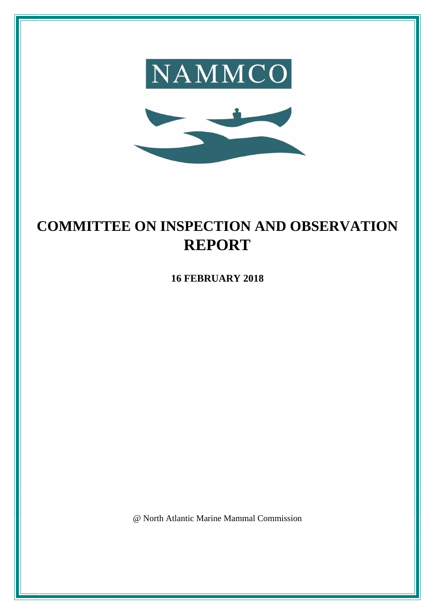

# **COMMITTEE ON INSPECTION AND OBSERVATION REPORT**

**16 FEBRUARY 2018**

@ North Atlantic Marine Mammal Commission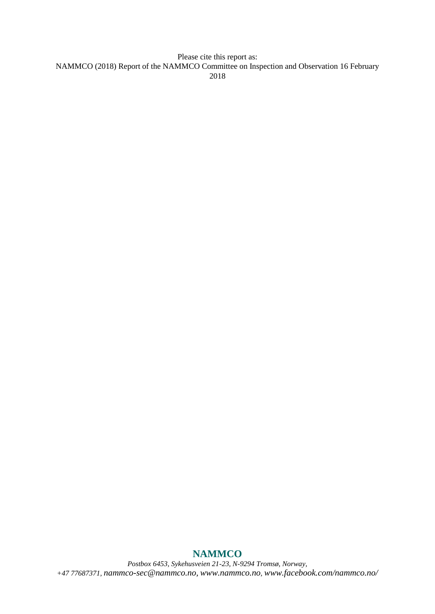Please cite this report as: NAMMCO (2018) Report of the NAMMCO Committee on Inspection and Observation 16 February 2018

# **NAMMCO**

*Postbox 6453, Sykehusveien 21-23, N-9294 Tromsø, Norway, +47 77687371, [nammco-sec@nammco.no,](mailto:nammco-sec@nammco.no) [www.nammco.no](http://www.nammco.no/), [www.facebook.com/nammco.no/](http://www.facebook.com/nammco.no/)*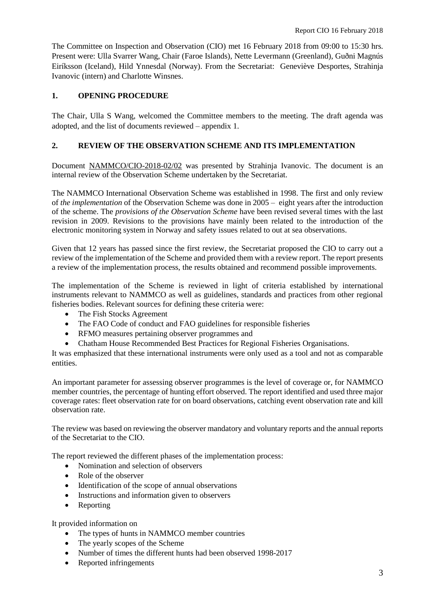The Committee on Inspection and Observation (CIO) met 16 February 2018 from 09:00 to 15:30 hrs. Present were: Ulla Svarrer Wang, Chair (Faroe Islands), Nette Levermann (Greenland), Guðni Magnús Eiríksson (Iceland), Hild Ynnesdal (Norway). From the Secretariat: Geneviève Desportes, Strahinja Ivanovic (intern) and Charlotte Winsnes.

# **1. OPENING PROCEDURE**

The Chair, Ulla S Wang, welcomed the Committee members to the meeting. The draft agenda was adopted, and the list of documents reviewed – appendix 1.

#### **2. REVIEW OF THE OBSERVATION SCHEME AND ITS IMPLEMENTATION**

Document NAMMCO/CIO-2018-02/02 was presented by Strahinja Ivanovic. The document is an internal review of the Observation Scheme undertaken by the Secretariat.

The NAMMCO International Observation Scheme was established in 1998. The first and only review of *the implementation* of the Observation Scheme was done in 2005 – eight years after the introduction of the scheme. The *provisions of the Observation Scheme* have been revised several times with the last revision in 2009. Revisions to the provisions have mainly been related to the introduction of the electronic monitoring system in Norway and safety issues related to out at sea observations.

Given that 12 years has passed since the first review, the Secretariat proposed the CIO to carry out a review of the implementation of the Scheme and provided them with a review report. The report presents a review of the implementation process, the results obtained and recommend possible improvements.

The implementation of the Scheme is reviewed in light of criteria established by international instruments relevant to NAMMCO as well as guidelines, standards and practices from other regional fisheries bodies. Relevant sources for defining these criteria were:

- The Fish Stocks Agreement
- The FAO Code of conduct and FAO guidelines for responsible fisheries
- RFMO measures pertaining observer programmes and
- Chatham House Recommended Best Practices for Regional Fisheries Organisations.

It was emphasized that these international instruments were only used as a tool and not as comparable entities.

An important parameter for assessing observer programmes is the level of coverage or, for NAMMCO member countries, the percentage of hunting effort observed. The report identified and used three major coverage rates: fleet observation rate for on board observations, catching event observation rate and kill observation rate.

The review was based on reviewing the observer mandatory and voluntary reports and the annual reports of the Secretariat to the CIO.

The report reviewed the different phases of the implementation process:

- Nomination and selection of observers
- Role of the observer
- Identification of the scope of annual observations
- Instructions and information given to observers
- Reporting

It provided information on

- The types of hunts in NAMMCO member countries
- The yearly scopes of the Scheme
- Number of times the different hunts had been observed 1998-2017
- Reported infringements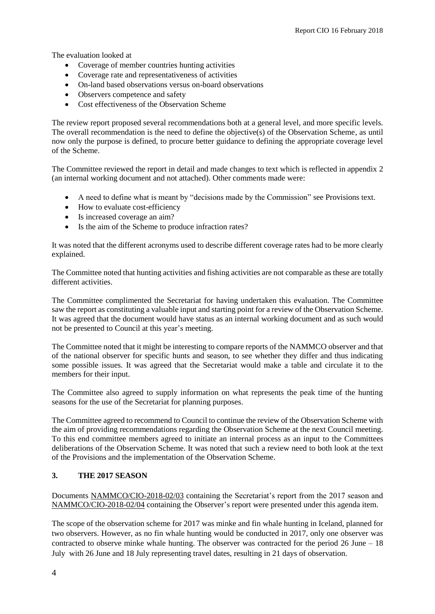The evaluation looked at

- Coverage of member countries hunting activities
- Coverage rate and representativeness of activities
- On-land based observations versus on-board observations
- Observers competence and safety
- Cost effectiveness of the Observation Scheme

The review report proposed several recommendations both at a general level, and more specific levels. The overall recommendation is the need to define the objective(s) of the Observation Scheme, as until now only the purpose is defined, to procure better guidance to defining the appropriate coverage level of the Scheme.

The Committee reviewed the report in detail and made changes to text which is reflected in appendix 2 (an internal working document and not attached). Other comments made were:

- A need to define what is meant by "decisions made by the Commission" see Provisions text.
- How to evaluate cost-efficiency
- Is increased coverage an aim?
- Is the aim of the Scheme to produce infraction rates?

It was noted that the different acronyms used to describe different coverage rates had to be more clearly explained.

The Committee noted that hunting activities and fishing activities are not comparable as these are totally different activities.

The Committee complimented the Secretariat for having undertaken this evaluation. The Committee saw the report as constituting a valuable input and starting point for a review of the Observation Scheme. It was agreed that the document would have status as an internal working document and as such would not be presented to Council at this year's meeting.

The Committee noted that it might be interesting to compare reports of the NAMMCO observer and that of the national observer for specific hunts and season, to see whether they differ and thus indicating some possible issues. It was agreed that the Secretariat would make a table and circulate it to the members for their input.

The Committee also agreed to supply information on what represents the peak time of the hunting seasons for the use of the Secretariat for planning purposes.

The Committee agreed to recommend to Council to continue the review of the Observation Scheme with the aim of providing recommendations regarding the Observation Scheme at the next Council meeting. To this end committee members agreed to initiate an internal process as an input to the Committees deliberations of the Observation Scheme. It was noted that such a review need to both look at the text of the Provisions and the implementation of the Observation Scheme.

#### **3. THE 2017 SEASON**

Documents NAMMCO/CIO-2018-02/03 containing the Secretariat's report from the 2017 season and NAMMCO/CIO-2018-02/04 containing the Observer's report were presented under this agenda item.

The scope of the observation scheme for 2017 was minke and fin whale hunting in Iceland, planned for two observers. However, as no fin whale hunting would be conducted in 2017, only one observer was contracted to observe minke whale hunting. The observer was contracted for the period 26 June – 18 July with 26 June and 18 July representing travel dates, resulting in 21 days of observation.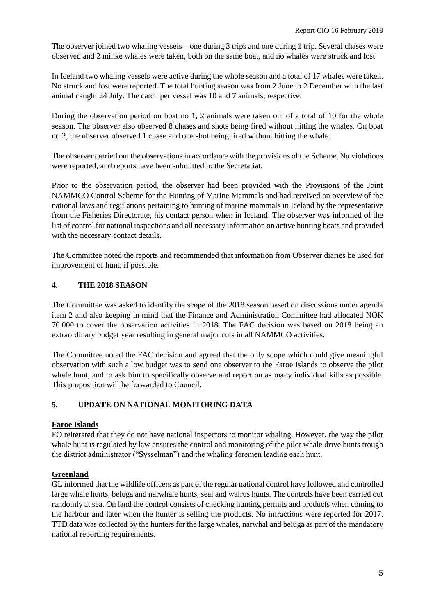The observer joined two whaling vessels – one during 3 trips and one during 1 trip. Several chases were observed and 2 minke whales were taken, both on the same boat, and no whales were struck and lost.

In Iceland two whaling vessels were active during the whole season and a total of 17 whales were taken. No struck and lost were reported. The total hunting season was from 2 June to 2 December with the last animal caught 24 July. The catch per vessel was 10 and 7 animals, respective.

During the observation period on boat no 1, 2 animals were taken out of a total of 10 for the whole season. The observer also observed 8 chases and shots being fired without hitting the whales. On boat no 2, the observer observed 1 chase and one shot being fired without hitting the whale.

The observer carried out the observations in accordance with the provisions of the Scheme. No violations were reported, and reports have been submitted to the Secretariat.

Prior to the observation period, the observer had been provided with the Provisions of the Joint NAMMCO Control Scheme for the Hunting of Marine Mammals and had received an overview of the national laws and regulations pertaining to hunting of marine mammals in Iceland by the representative from the Fisheries Directorate, his contact person when in Iceland. The observer was informed of the list of control for national inspections and all necessary information on active hunting boats and provided with the necessary contact details.

The Committee noted the reports and recommended that information from Observer diaries be used for improvement of hunt, if possible.

# **4. THE 2018 SEASON**

The Committee was asked to identify the scope of the 2018 season based on discussions under agenda item 2 and also keeping in mind that the Finance and Administration Committee had allocated NOK 70 000 to cover the observation activities in 2018. The FAC decision was based on 2018 being an extraordinary budget year resulting in general major cuts in all NAMMCO activities.

The Committee noted the FAC decision and agreed that the only scope which could give meaningful observation with such a low budget was to send one observer to the Faroe Islands to observe the pilot whale hunt, and to ask him to specifically observe and report on as many individual kills as possible. This proposition will be forwarded to Council.

# **5. UPDATE ON NATIONAL MONITORING DATA**

#### **Faroe Islands**

FO reiterated that they do not have national inspectors to monitor whaling. However, the way the pilot whale hunt is regulated by law ensures the control and monitoring of the pilot whale drive hunts trough the district administrator ("Sysselman") and the whaling foremen leading each hunt.

#### **Greenland**

GL informed that the wildlife officers as part of the regular national control have followed and controlled large whale hunts, beluga and narwhale hunts, seal and walrus hunts. The controls have been carried out randomly at sea. On land the control consists of checking hunting permits and products when coming to the harbour and later when the hunter is selling the products. No infractions were reported for 2017. TTD data was collected by the hunters for the large whales, narwhal and beluga as part of the mandatory national reporting requirements.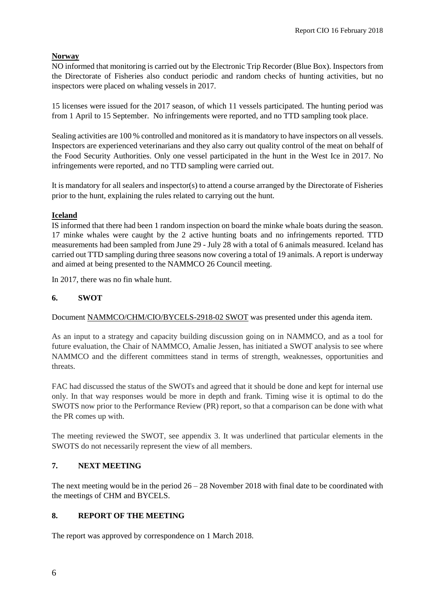# **Norway**

NO informed that monitoring is carried out by the Electronic Trip Recorder (Blue Box). Inspectors from the Directorate of Fisheries also conduct periodic and random checks of hunting activities, but no inspectors were placed on whaling vessels in 2017.

15 licenses were issued for the 2017 season, of which 11 vessels participated. The hunting period was from 1 April to 15 September. No infringements were reported, and no TTD sampling took place.

Sealing activities are 100 % controlled and monitored as it is mandatory to have inspectors on all vessels. Inspectors are experienced veterinarians and they also carry out quality control of the meat on behalf of the Food Security Authorities. Only one vessel participated in the hunt in the West Ice in 2017. No infringements were reported, and no TTD sampling were carried out.

It is mandatory for all sealers and inspector(s) to attend a course arranged by the Directorate of Fisheries prior to the hunt, explaining the rules related to carrying out the hunt.

# **Iceland**

IS informed that there had been 1 random inspection on board the minke whale boats during the season. 17 minke whales were caught by the 2 active hunting boats and no infringements reported. TTD measurements had been sampled from June 29 - July 28 with a total of 6 animals measured. Iceland has carried out TTD sampling during three seasons now covering a total of 19 animals. A report is underway and aimed at being presented to the NAMMCO 26 Council meeting.

In 2017, there was no fin whale hunt.

# **6. SWOT**

Document NAMMCO/CHM/CIO/BYCELS-2918-02 SWOT was presented under this agenda item.

As an input to a strategy and capacity building discussion going on in NAMMCO, and as a tool for future evaluation, the Chair of NAMMCO, Amalie Jessen, has initiated a SWOT analysis to see where NAMMCO and the different committees stand in terms of strength, weaknesses, opportunities and threats.

FAC had discussed the status of the SWOTs and agreed that it should be done and kept for internal use only. In that way responses would be more in depth and frank. Timing wise it is optimal to do the SWOTS now prior to the Performance Review (PR) report, so that a comparison can be done with what the PR comes up with.

The meeting reviewed the SWOT, see appendix 3. It was underlined that particular elements in the SWOTS do not necessarily represent the view of all members.

# **7. NEXT MEETING**

The next meeting would be in the period 26 – 28 November 2018 with final date to be coordinated with the meetings of CHM and BYCELS.

# **8. REPORT OF THE MEETING**

The report was approved by correspondence on 1 March 2018.